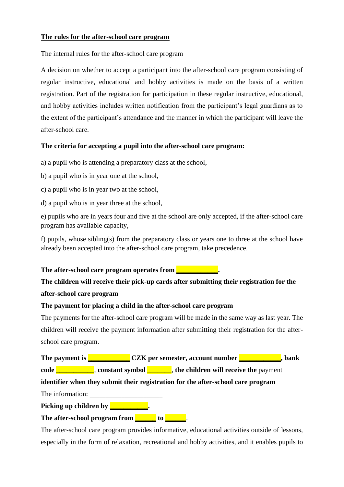### **The rules for the after-school care program**

The internal rules for the after-school care program

A decision on whether to accept a participant into the after-school care program consisting of regular instructive, educational and hobby activities is made on the basis of a written registration. Part of the registration for participation in these regular instructive, educational, and hobby activities includes written notification from the participant's legal guardians as to the extent of the participant's attendance and the manner in which the participant will leave the after-school care.

### **The criteria for accepting a pupil into the after-school care program:**

a) a pupil who is attending a preparatory class at the school,

- b) a pupil who is in year one at the school,
- c) a pupil who is in year two at the school,
- d) a pupil who is in year three at the school,

e) pupils who are in years four and five at the school are only accepted, if the after-school care program has available capacity,

f) pupils, whose sibling(s) from the preparatory class or years one to three at the school have already been accepted into the after-school care program, take precedence.

### **The after-school care program operates from <b>The after-school care program operates from**

# **The children will receive their pick-up cards after submitting their registration for the**

### **after-school care program**

#### **The payment for placing a child in the after-school care program**

The payments for the after-school care program will be made in the same way as last year. The children will receive the payment information after submitting their registration for the afterschool care program.

**The payment is** <br>**CZK per semester, account number**  $\blacksquare$ **, bank code \_\_\_\_\_\_\_\_\_**, **constant symbol \_\_\_\_\_\_**, **the children will receive the payment** 

## **identifier when they submit their registration for the after-school care program**

The information:

**Picking up children by \_\_\_\_\_\_\_** 

**The after-school program from the left of the set of the set of the set of the set of the set of the set of the set of the set of the set of the set of the set of the set of the set of the set of the set of the set of the** 

The after-school care program provides informative, educational activities outside of lessons, especially in the form of relaxation, recreational and hobby activities, and it enables pupils to